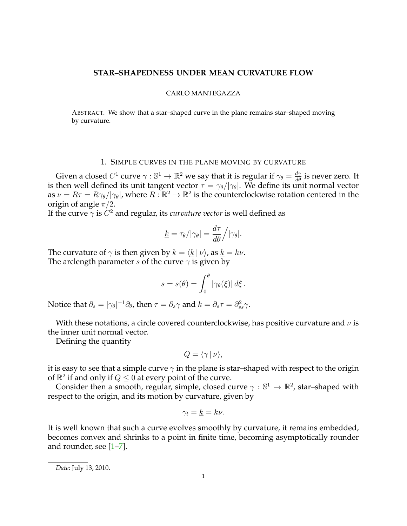### **STAR–SHAPEDNESS UNDER MEAN CURVATURE FLOW**

#### CARLO MANTEGAZZA

ABSTRACT. We show that a star–shaped curve in the plane remains star–shaped moving by curvature.

## 1. SIMPLE CURVES IN THE PLANE MOVING BY CURVATURE

Given a closed  $C^1$  curve  $\gamma:\mathbb{S}^1\to\mathbb{R}^2$  we say that it is regular if  $\gamma_\theta=\frac{d\gamma}{d\theta}$  is never zero. It is then well defined its unit tangent vector  $\tau = \gamma_{\theta}/|\gamma_{\theta}|$ . We define its unit normal vector as  $\nu = R\tau = R\gamma_\theta/|\gamma_\theta|$ , where  $R : \mathbb{R}^2 \to \mathbb{R}^2$  is the counterclockwise rotation centered in the origin of angle  $\pi/2$ .

If the curve  $\gamma$  is  $C^2$  and regular, its *curvature vector* is well defined as

$$
\underline{k} = \tau_{\theta}/|\gamma_{\theta}| = \frac{d\tau}{d\theta} / |\gamma_{\theta}|.
$$

The curvature of  $\gamma$  is then given by  $k = \langle k | \nu \rangle$ , as  $k = k\nu$ . The arclength parameter s of the curve  $\gamma$  is given by

$$
s = s(\theta) = \int_0^{\theta} |\gamma_{\theta}(\xi)| d\xi.
$$

Notice that  $\partial_s = |\gamma_\theta|^{-1} \partial_\theta$ , then  $\tau = \partial_s \gamma$  and  $\underline{k} = \partial_s \tau = \partial_{ss}^2 \gamma$ .

With these notations, a circle covered counterclockwise, has positive curvature and  $\nu$  is the inner unit normal vector.

Defining the quantity

$$
Q = \langle \gamma | \nu \rangle,
$$

it is easy to see that a simple curve  $\gamma$  in the plane is star–shaped with respect to the origin of  $\mathbb{R}^2$  if and only if  $Q \le 0$  at every point of the curve.

Consider then a smooth, regular, simple, closed curve  $\gamma : \mathbb{S}^1 \to \mathbb{R}^2$ , star-shaped with respect to the origin, and its motion by curvature, given by

$$
\gamma_t = \underline{k} = k\nu.
$$

It is well known that such a curve evolves smoothly by curvature, it remains embedded, becomes convex and shrinks to a point in finite time, becoming asymptotically rounder and rounder, see [\[1–](#page-2-0)[7\]](#page-2-1).

*Date*: July 13, 2010.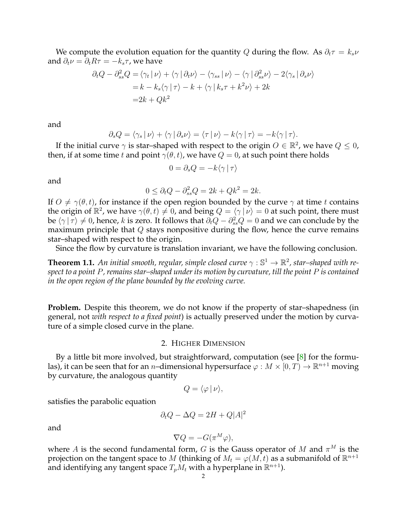We compute the evolution equation for the quantity Q during the flow. As  $\partial_t \tau = k_s \nu$ and  $\partial_t \nu = \partial_t R \tau = -k_s \tau$ , we have

$$
\partial_t Q - \partial_{ss}^2 Q = \langle \gamma_t | \nu \rangle + \langle \gamma | \partial_t \nu \rangle - \langle \gamma_{ss} | \nu \rangle - \langle \gamma | \partial_{ss}^2 \nu \rangle - 2 \langle \gamma_s | \partial_s \nu \rangle
$$
  
=  $k - k_s \langle \gamma | \tau \rangle - k + \langle \gamma | k_s \tau + k^2 \nu \rangle + 2k$   
=  $2k + Qk^2$ 

and

$$
\partial_s Q = \langle \gamma_s | \nu \rangle + \langle \gamma | \partial_s \nu \rangle = \langle \tau | \nu \rangle - k \langle \gamma | \tau \rangle = -k \langle \gamma | \tau \rangle.
$$

If the initial curve  $\gamma$  is star–shaped with respect to the origin  $O \in \mathbb{R}^2$ , we have  $Q \leq 0$ , then, if at some time t and point  $\gamma(\theta, t)$ , we have  $Q = 0$ , at such point there holds

$$
0 = \partial_s Q = -k \langle \gamma | \tau \rangle
$$

and

$$
0 \le \partial_t Q - \partial_{ss}^2 Q = 2k + Qk^2 = 2k.
$$

If  $O \neq \gamma(\theta, t)$ , for instance if the open region bounded by the curve  $\gamma$  at time t contains the origin of  $\mathbb{R}^2$ , we have  $\gamma(\theta, t) \neq 0$ , and being  $Q = \langle \gamma | \nu \rangle = 0$  at such point, there must be  $\langle\gamma\ket{\tau}\neq 0$ , hence,  $k$  is zero. It follows that  $\partial_tQ-\partial_{ss}^2Q=0$  and we can conclude by the maximum principle that  $Q$  stays nonpositive during the flow, hence the curve remains star–shaped with respect to the origin.

Since the flow by curvature is translation invariant, we have the following conclusion.

**Theorem 1.1.** An initial smooth, regular, simple closed curve  $\gamma : \mathbb{S}^1 \to \mathbb{R}^2$ , star–shaped with re*spect to a point* P*, remains star–shaped under its motion by curvature, till the point* P *is contained in the open region of the plane bounded by the evolving curve.*

**Problem.** Despite this theorem, we do not know if the property of star-shapedness (in general, not *with respect to a fixed point*) is actually preserved under the motion by curvature of a simple closed curve in the plane.

# 2. HIGHER DIMENSION

By a little bit more involved, but straightforward, computation (see [\[8\]](#page-2-2) for the formulas), it can be seen that for an *n*-dimensional hypersurface  $\varphi : M \times [0,T) \to \mathbb{R}^{n+1}$  moving by curvature, the analogous quantity

$$
Q=\langle\varphi\,|\,\nu\rangle,
$$

satisfies the parabolic equation

$$
\partial_t Q - \Delta Q = 2H + Q|A|^2
$$

and

$$
\nabla Q = -G(\pi^M \varphi),
$$

where A is the second fundamental form, G is the Gauss operator of M and  $\pi^M$  is the projection on the tangent space to  $M$  (thinking of  $M_t = \varphi(M, t)$  as a submanifold of  $\mathbb{R}^{n+1}$ and identifying any tangent space  $T_pM_t$  with a hyperplane in  $\mathbb{R}^{n+1}$ ).